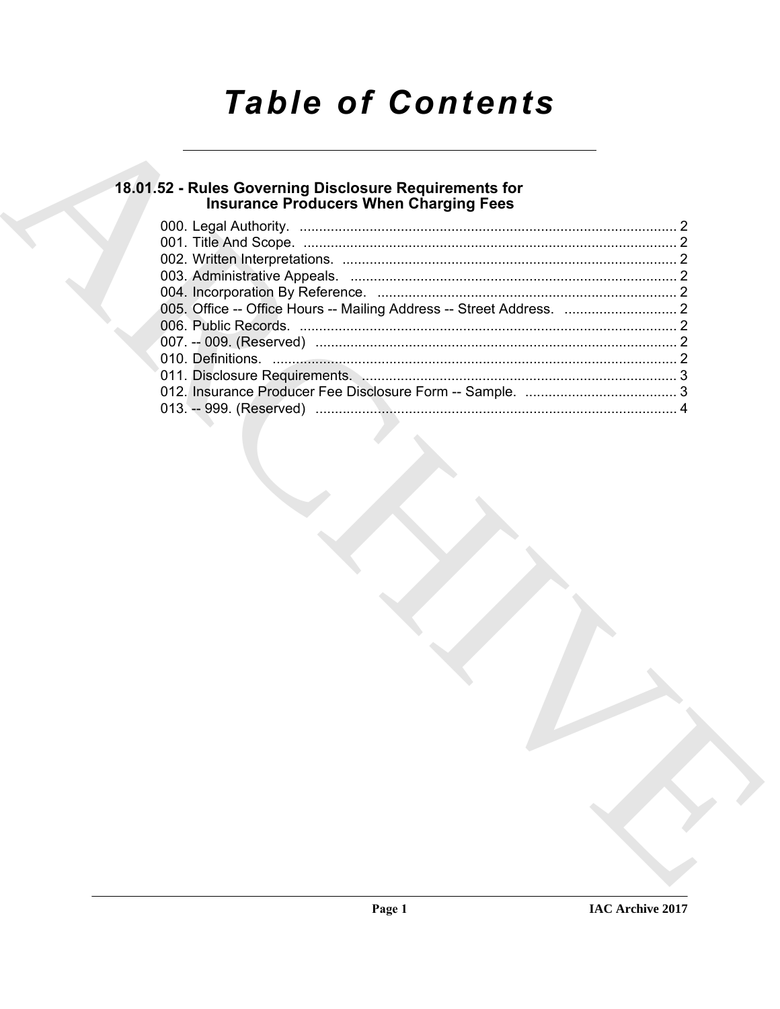# **Table of Contents**

# 18.01.52 - Rules Governing Disclosure Requirements for<br>Insurance Producers When Charging Fees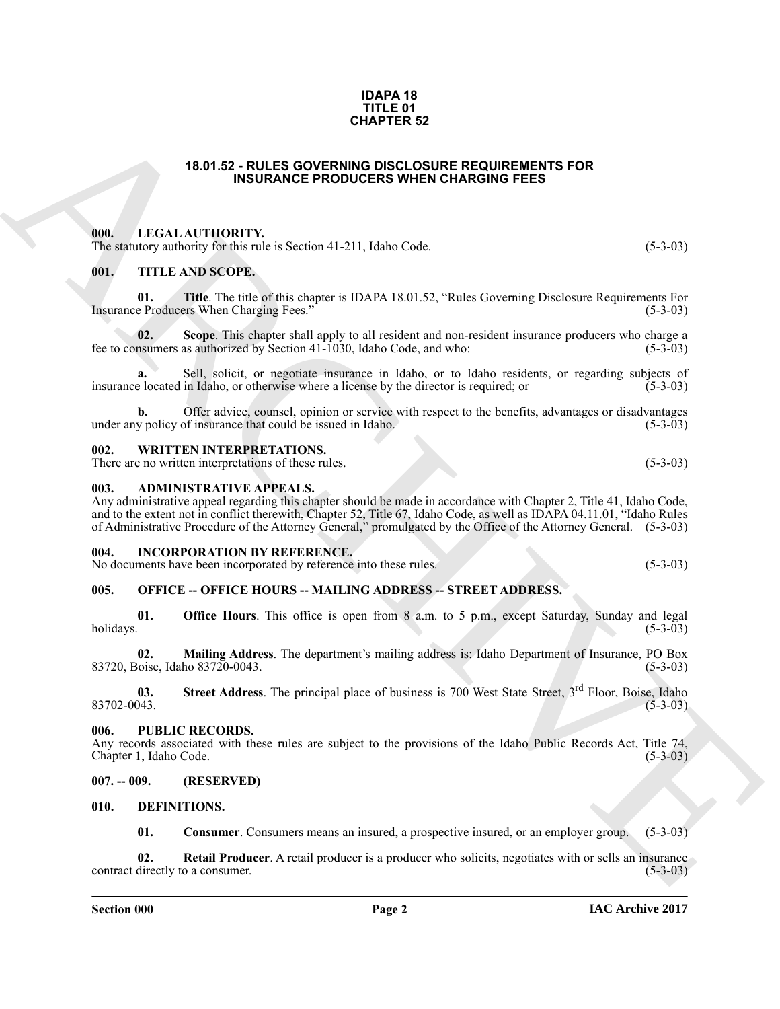#### **IDAPA 18 TITLE 01 CHAPTER 52**

#### **18.01.52 - RULES GOVERNING DISCLOSURE REQUIREMENTS FOR INSURANCE PRODUCERS WHEN CHARGING FEES**

#### <span id="page-1-1"></span><span id="page-1-0"></span>**000. LEGAL AUTHORITY.**

The statutory authority for this rule is Section 41-211, Idaho Code. (5-3-03)

#### <span id="page-1-2"></span>**001. TITLE AND SCOPE.**

**01.** Title. The title of this chapter is IDAPA 18.01.52, "Rules Governing Disclosure Requirements For e Producers When Charging Fees." (5-3-03) Insurance Producers When Charging Fees."

**02. Scope**. This chapter shall apply to all resident and non-resident insurance producers who charge a fee to consumers as authorized by Section 41-1030, Idaho Code, and who: (5-3-03)

**a.** Sell, solicit, or negotiate insurance in Idaho, or to Idaho residents, or regarding subjects of insurance located in Idaho, or otherwise where a license by the director is required; or (5-3-03)

**b.** Offer advice, counsel, opinion or service with respect to the benefits, advantages or disadvantages y policy of insurance that could be issued in Idaho. (5-3-03) under any policy of insurance that could be issued in Idaho.

#### <span id="page-1-3"></span>**002. WRITTEN INTERPRETATIONS.**

There are no written interpretations of these rules. (5-3-03)

#### <span id="page-1-4"></span>**003. ADMINISTRATIVE APPEALS.**

**CHAPTER 52**<br> **CHAPTER 32**<br> **CHAPTER SCHER CONDENSIVE PRODUCES WHEN CHARGING FEES<br>
THE INTERFERITY (III). INSURANCE PRODUCES WHEN CHARGING FEES<br>
(III). TITLE ANSISSECTIVE,<br>
(III). TITLE ANSISSECTIVE,<br>
(III). TITLE ANSISSE** Any administrative appeal regarding this chapter should be made in accordance with Chapter 2, Title 41, Idaho Code, and to the extent not in conflict therewith, Chapter 52, Title 67, Idaho Code, as well as IDAPA 04.11.01, "Idaho Rules of Administrative Procedure of the Attorney General," promulgated by the Office of the Attorney General. (5-3-03)

#### <span id="page-1-5"></span>**004. INCORPORATION BY REFERENCE.**

No documents have been incorporated by reference into these rules. (5-3-03)

#### <span id="page-1-6"></span>**005. OFFICE -- OFFICE HOURS -- MAILING ADDRESS -- STREET ADDRESS.**

**01. Office Hours**. This office is open from 8 a.m. to 5 p.m., except Saturday, Sunday and legal holidays. (5-3-03) holidays. (5-3-03)

**02.** Mailing Address. The department's mailing address is: Idaho Department of Insurance, PO Box loise, Idaho 83720-0043. (5-3-03) 83720, Boise, Idaho 83720-0043.

**03.** Street Address. The principal place of business is 700 West State Street, 3<sup>rd</sup> Floor, Boise, Idaho (5-3-03)  $83702-0043.$  (5-3-03)

#### <span id="page-1-7"></span>**006. PUBLIC RECORDS.**

Any records associated with these rules are subject to the provisions of the Idaho Public Records Act, Title 74, Chapter 1, Idaho Code. (5-3-03) Chapter 1, Idaho Code.

#### <span id="page-1-8"></span>**007. -- 009. (RESERVED)**

#### <span id="page-1-9"></span>**010. DEFINITIONS.**

<span id="page-1-12"></span><span id="page-1-11"></span><span id="page-1-10"></span>**01. Consumer**. Consumers means an insured, a prospective insured, or an employer group. (5-3-03)

**02.** Retail Producer. A retail producer is a producer who solicits, negotiates with or sells an insurance directly to a consumer. (5-3-03) contract directly to a consumer.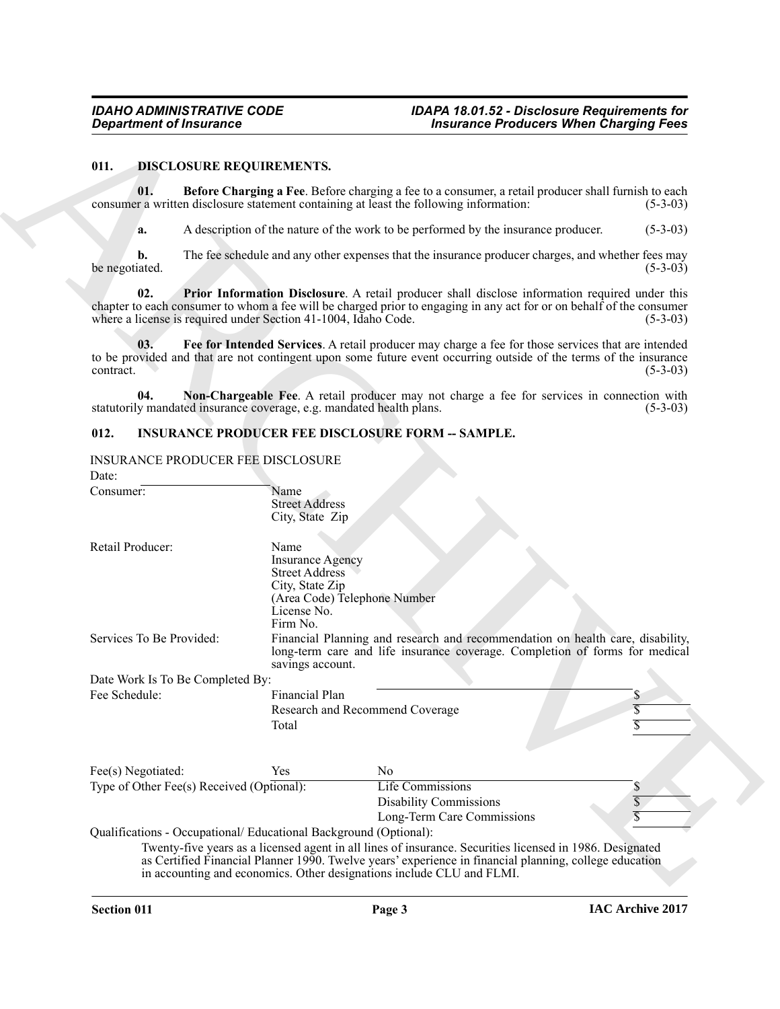#### <span id="page-2-6"></span><span id="page-2-3"></span><span id="page-2-2"></span><span id="page-2-0"></span>**011. DISCLOSURE REQUIREMENTS.**

#### <span id="page-2-7"></span><span id="page-2-5"></span><span id="page-2-4"></span><span id="page-2-1"></span>**012. INSURANCE PRODUCER FEE DISCLOSURE FORM -- SAMPLE.**

| <b>Department of Insurance</b>                                              |                                                                                                        | <b>Insurance Producers When Charging Fees</b>                                                                                                                                                                                  |                                       |  |
|-----------------------------------------------------------------------------|--------------------------------------------------------------------------------------------------------|--------------------------------------------------------------------------------------------------------------------------------------------------------------------------------------------------------------------------------|---------------------------------------|--|
| 011.<br><b>DISCLOSURE REQUIREMENTS.</b>                                     |                                                                                                        |                                                                                                                                                                                                                                |                                       |  |
| 01.                                                                         |                                                                                                        | Before Charging a Fee. Before charging a fee to a consumer, a retail producer shall furnish to each<br>consumer a written disclosure statement containing at least the following information:                                  | $(5-3-03)$                            |  |
| a.                                                                          | A description of the nature of the work to be performed by the insurance producer.<br>$(5-3-03)$       |                                                                                                                                                                                                                                |                                       |  |
| b.<br>be negotiated.                                                        |                                                                                                        | The fee schedule and any other expenses that the insurance producer charges, and whether fees may                                                                                                                              | $(5-3-03)$                            |  |
| 02.<br>where a license is required under Section 41-1004, Idaho Code.       |                                                                                                        | <b>Prior Information Disclosure</b> . A retail producer shall disclose information required under this<br>chapter to each consumer to whom a fee will be charged prior to engaging in any act for or on behalf of the consumer | $(5-3-03)$                            |  |
| 03.<br>contract.                                                            |                                                                                                        | Fee for Intended Services. A retail producer may charge a fee for those services that are intended<br>to be provided and that are not contingent upon some future event occurring outside of the terms of the insurance        | $(5-3-03)$                            |  |
| 04.<br>statutorily mandated insurance coverage, e.g. mandated health plans. |                                                                                                        | Non-Chargeable Fee. A retail producer may not charge a fee for services in connection with                                                                                                                                     | $(5-3-03)$                            |  |
| 012.                                                                        |                                                                                                        | <b>INSURANCE PRODUCER FEE DISCLOSURE FORM -- SAMPLE.</b>                                                                                                                                                                       |                                       |  |
| <b>INSURANCE PRODUCER FEE DISCLOSURE</b><br>Date:                           |                                                                                                        |                                                                                                                                                                                                                                |                                       |  |
| Consumer:                                                                   | Name<br><b>Street Address</b><br>City, State Zip                                                       |                                                                                                                                                                                                                                |                                       |  |
| Retail Producer:                                                            | Name<br><b>Insurance Agency</b><br><b>Street Address</b><br>City, State Zip<br>License No.<br>Firm No. | (Area Code) Telephone Number                                                                                                                                                                                                   |                                       |  |
| Services To Be Provided:                                                    | savings account.                                                                                       | Financial Planning and research and recommendation on health care, disability,<br>long-term care and life insurance coverage. Completion of forms for medical                                                                  |                                       |  |
| Date Work Is To Be Completed By:                                            |                                                                                                        |                                                                                                                                                                                                                                |                                       |  |
| Fee Schedule:                                                               | Financial Plan<br>Total                                                                                | Research and Recommend Coverage                                                                                                                                                                                                | \$                                    |  |
| Fee(s) Negotiated:                                                          | Yes                                                                                                    | N <sub>0</sub>                                                                                                                                                                                                                 |                                       |  |
| Type of Other Fee(s) Received (Optional):                                   |                                                                                                        | <b>Life Commissions</b><br><b>Disability Commissions</b><br>Long-Term Care Commissions                                                                                                                                         | $\boldsymbol{\mathsf{S}}$<br>\$<br>\$ |  |
| Qualifications - Occupational/ Educational Background (Optional):           |                                                                                                        | Twenty-five years as a licensed agent in all lines of insurance. Securities licensed in 1986. Designated<br>as Certified Financial Planner 1990. Twelve years' experience in financial planning, college education             |                                       |  |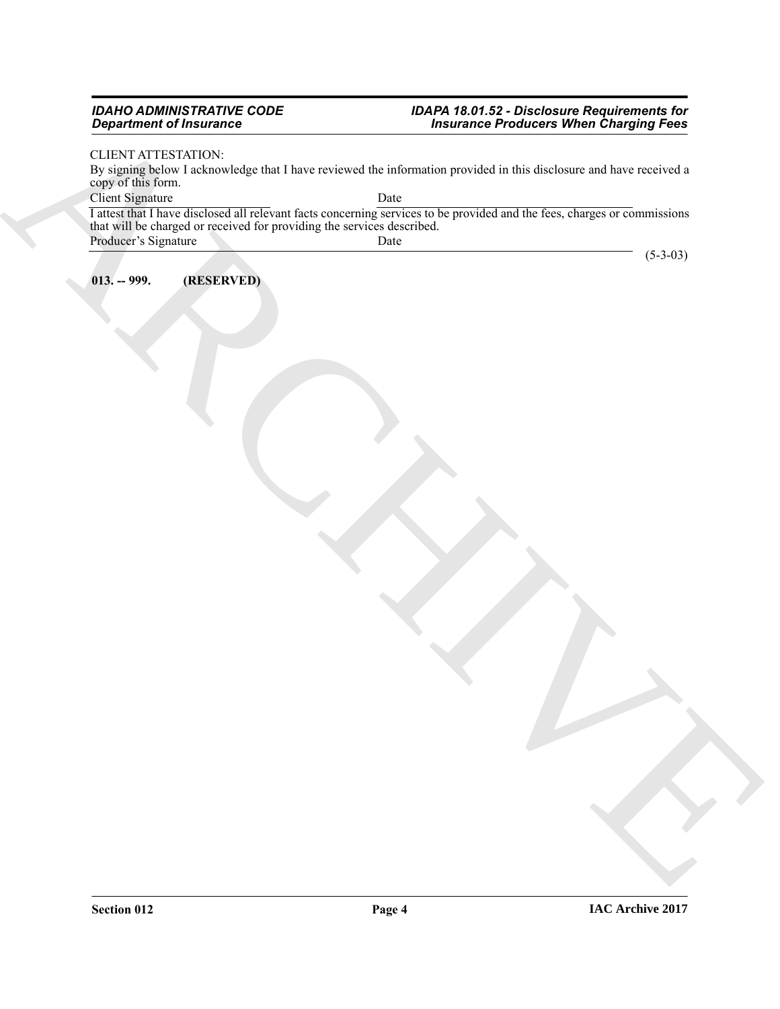#### *IDAHO ADMINISTRATIVE CODE IDAPA 18.01.52 - Disclosure Requirements for Department of Insurance Insurance Producers When Charging Fees*

(5-3-03)

### CLIENT ATTESTATION:

By signing below I acknowledge that I have reviewed the information provided in this disclosure and have received a copy of this form.

Client Signature Date

 $\frac{1}{2}$  (Figure ) and the control of the set of the set of the set of the set of the set of the set of the set of the set of the set of the set of the set of the set of the set of the set of the set of the set of the se I attest that I have disclosed all relevant facts concerning services to be provided and the fees, charges or commissions that will be charged or received for providing the services described. Producer's Signature Date

<span id="page-3-0"></span>**013. -- 999. (RESERVED)**